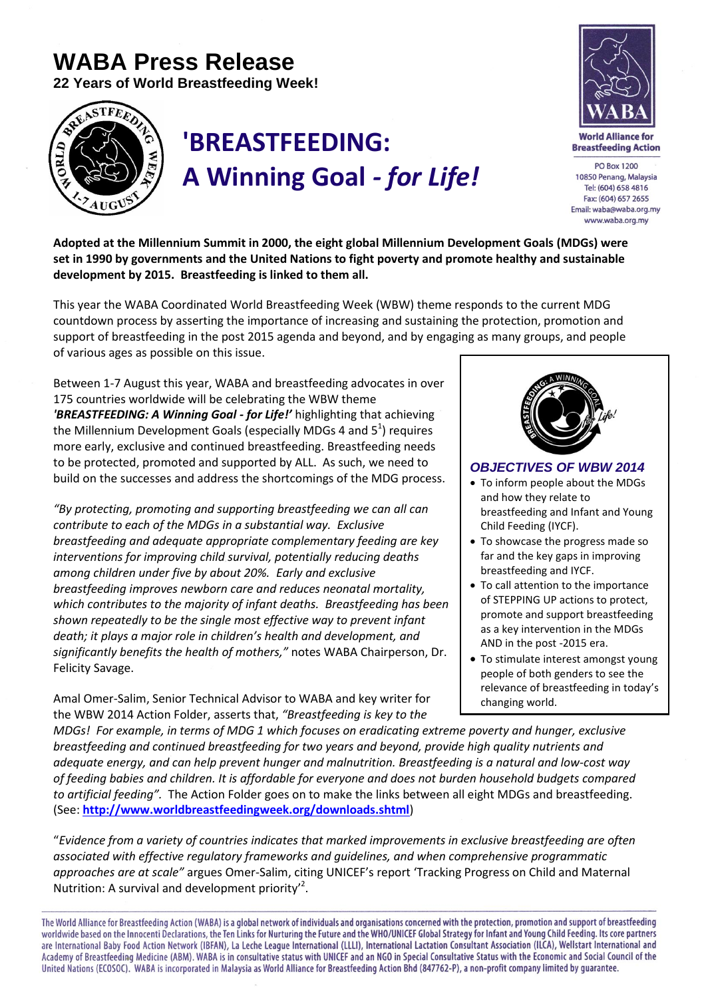## **WABA Press Release**

**22 Years of World Breastfeeding Week!**



## **'BREASTFEEDING: A Winning Goal** *- for Life!*



**World Alliance for Breastfeeding Action** 

**PO Box 1200** 10850 Penang, Malaysia Tel: (604) 658 4816 Fax: (604) 657 2655 Email: waba@waba.org.my www.waba.org.mv

**Adopted at the Millennium Summit in 2000, the eight global Millennium Development Goals (MDGs) were set in 1990 by governments and the United Nations to fight poverty and promote healthy and sustainable development by 2015. Breastfeeding is linked to them all.** 

This year the WABA Coordinated World Breastfeeding Week (WBW) theme responds to the current MDG countdown process by asserting the importance of increasing and sustaining the protection, promotion and support of breastfeeding in the post 2015 agenda and beyond, and by engaging as many groups, and people of various ages as possible on this issue.

Between 1-7 August this year, WABA and breastfeeding advocates in over 175 countries worldwide will be celebrating the WBW theme *'BREASTFEEDING: A Winning Goal - for Life!'* highlighting that achieving the Millennium Development Goals (especially MDGs 4 and  $5^1$ ) requires more early, exclusive and continued breastfeeding. Breastfeeding needs to be protected, promoted and supported by ALL. As such, we need to build on the successes and address the shortcomings of the MDG process.

*"By protecting, promoting and supporting breastfeeding we can all can contribute to each of the MDGs in a substantial way. Exclusive breastfeeding and adequate appropriate complementary feeding are key interventions for improving child survival, potentially reducing deaths among children under five by about 20%. Early and exclusive breastfeeding improves newborn care and reduces neonatal mortality, which contributes to the majority of infant deaths. Breastfeeding has been shown repeatedly to be the single most effective way to prevent infant death; it plays a major role in children's health and development, and significantly benefits the health of mothers,"* notes WABA Chairperson, Dr. Felicity Savage.

Amal Omer-Salim, Senior Technical Advisor to WABA and key writer for the WBW 2014 Action Folder, asserts that, *"Breastfeeding is key to the* 



## *OBJECTIVES OF WBW 2014*

- To inform people about the MDGs and how they relate to breastfeeding and Infant and Young Child Feeding (IYCF).
- To showcase the progress made so far and the key gaps in improving breastfeeding and IYCF.
- To call attention to the importance of STEPPING UP actions to protect, promote and support breastfeeding as a key intervention in the MDGs AND in the post -2015 era.
- To stimulate interest amongst young people of both genders to see the relevance of breastfeeding in today's changing world.

*MDGs! For example, in terms of MDG 1 which focuses on eradicating extreme poverty and hunger, exclusive breastfeeding and continued breastfeeding for two years and beyond, provide high quality nutrients and adequate energy, and can help prevent hunger and malnutrition. Breastfeeding is a natural and low-cost way of feeding babies and children. It is affordable for everyone and does not burden household budgets compared to artificial feeding".* The Action Folder goes on to make the links between all eight MDGs and breastfeeding. (See: **<http://www.worldbreastfeedingweek.org/downloads.shtml>**)

"*Evidence from a variety of countries indicates that marked improvements in exclusive breastfeeding are often associated with effective regulatory frameworks and guidelines, and when comprehensive programmatic approaches are at scale"* argues Omer-Salim, citing UNICEF's report 'Tracking Progress on Child and Maternal Nutrition: A survival and development priority<sup>2</sup>.

The World Alliance for Breastfeeding Action (WABA) is a global network of individuals and organisations concerned with the protection, promotion and support of breastfeeding worldwide based on the Innocenti Declarations, the Ten Links for Nurturing the Future and the WHO/UNICEF Global Strategy for Infant and Young Child Feeding. Its core partners are International Baby Food Action Network (IBFAN), La Leche League International (LLLI), International Lactation Consultant Association (ILCA), Wellstart International and Academy of Breastfeeding Medicine (ABM). WABA is in consultative status with UNICEF and an NGO in Special Consultative Status with the Economic and Social Council of the United Nations (ECOSOC). WABA is incorporated in Malaysia as World Alliance for Breastfeeding Action Bhd (847762-P), a non-profit company limited by guarantee.